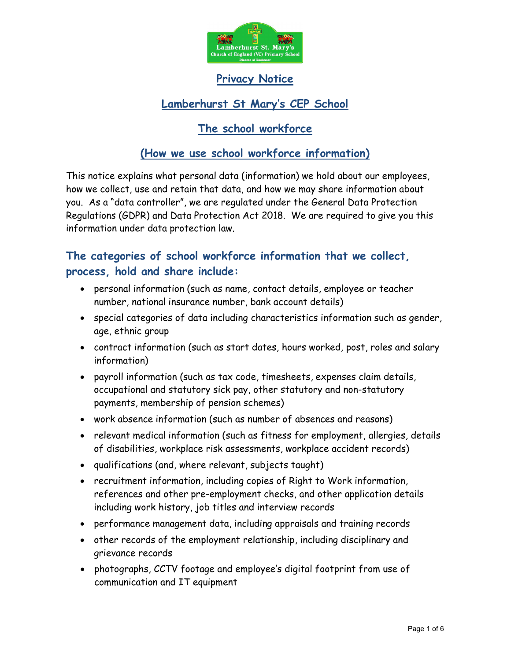

# Privacy Notice

# Lamberhurst St Mary's CEP School

# The school workforce

## (How we use school workforce information)

This notice explains what personal data (information) we hold about our employees, how we collect, use and retain that data, and how we may share information about you. As a "data controller", we are regulated under the General Data Protection Regulations (GDPR) and Data Protection Act 2018. We are required to give you this information under data protection law.

# The categories of school workforce information that we collect, process, hold and share include:

- personal information (such as name, contact details, employee or teacher number, national insurance number, bank account details)
- special categories of data including characteristics information such as gender, age, ethnic group
- contract information (such as start dates, hours worked, post, roles and salary information)
- payroll information (such as tax code, timesheets, expenses claim details, occupational and statutory sick pay, other statutory and non-statutory payments, membership of pension schemes)
- work absence information (such as number of absences and reasons)
- relevant medical information (such as fitness for employment, allergies, details of disabilities, workplace risk assessments, workplace accident records)
- qualifications (and, where relevant, subjects taught)
- recruitment information, including copies of Right to Work information, references and other pre-employment checks, and other application details including work history, job titles and interview records
- performance management data, including appraisals and training records
- other records of the employment relationship, including disciplinary and grievance records
- photographs, CCTV footage and employee's digital footprint from use of communication and IT equipment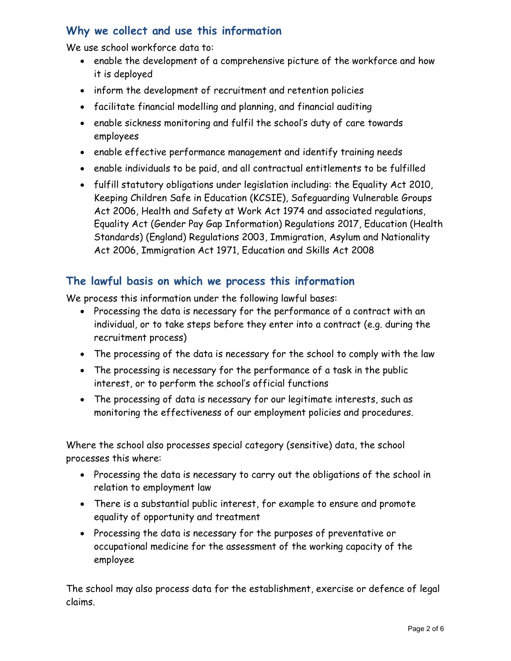# Why we collect and use this information

We use school workforce data to:

- enable the development of a comprehensive picture of the workforce and how it is deployed
- inform the development of recruitment and retention policies
- facilitate financial modelling and planning, and financial auditing
- enable sickness monitoring and fulfil the school's duty of care towards employees
- enable effective performance management and identify training needs
- enable individuals to be paid, and all contractual entitlements to be fulfilled
- fulfill statutory obligations under legislation including: the Equality Act 2010, Keeping Children Safe in Education (KCSIE), Safeguarding Vulnerable Groups Act 2006, Health and Safety at Work Act 1974 and associated regulations, Equality Act (Gender Pay Gap Information) Regulations 2017, Education (Health Standards) (England) Regulations 2003, Immigration, Asylum and Nationality Act 2006, Immigration Act 1971, Education and Skills Act 2008

#### The lawful basis on which we process this information

We process this information under the following lawful bases:

- Processing the data is necessary for the performance of a contract with an individual, or to take steps before they enter into a contract (e.g. during the recruitment process)
- The processing of the data is necessary for the school to comply with the law
- The processing is necessary for the performance of a task in the public interest, or to perform the school's official functions
- The processing of data is necessary for our legitimate interests, such as monitoring the effectiveness of our employment policies and procedures.

Where the school also processes special category (sensitive) data, the school processes this where:

- Processing the data is necessary to carry out the obligations of the school in relation to employment law
- There is a substantial public interest, for example to ensure and promote equality of opportunity and treatment
- Processing the data is necessary for the purposes of preventative or occupational medicine for the assessment of the working capacity of the employee

The school may also process data for the establishment, exercise or defence of legal claims.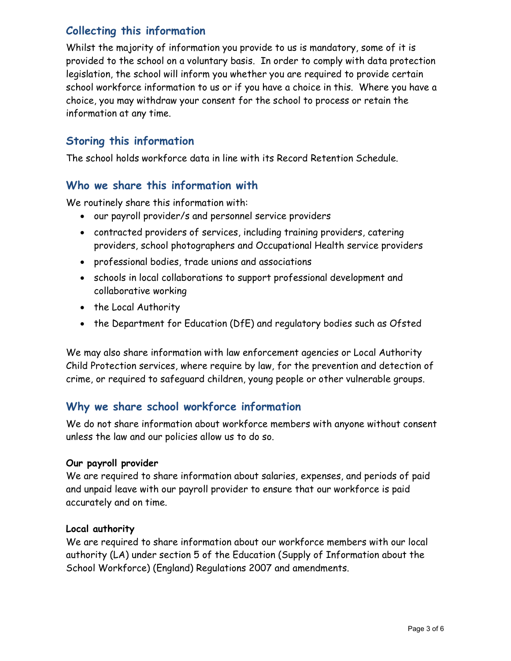# Collecting this information

Whilst the majority of information you provide to us is mandatory, some of it is provided to the school on a voluntary basis. In order to comply with data protection legislation, the school will inform you whether you are required to provide certain school workforce information to us or if you have a choice in this. Where you have a choice, you may withdraw your consent for the school to process or retain the information at any time.

## Storing this information

The school holds workforce data in line with its Record Retention Schedule.

#### Who we share this information with

We routinely share this information with:

- our payroll provider/s and personnel service providers
- contracted providers of services, including training providers, catering providers, school photographers and Occupational Health service providers
- professional bodies, trade unions and associations
- schools in local collaborations to support professional development and collaborative working
- the Local Authority
- the Department for Education (DfE) and regulatory bodies such as Ofsted

We may also share information with law enforcement agencies or Local Authority Child Protection services, where require by law, for the prevention and detection of crime, or required to safeguard children, young people or other vulnerable groups.

### Why we share school workforce information

We do not share information about workforce members with anyone without consent unless the law and our policies allow us to do so.

#### Our payroll provider

We are required to share information about salaries, expenses, and periods of paid and unpaid leave with our payroll provider to ensure that our workforce is paid accurately and on time.

#### Local authority

We are required to share information about our workforce members with our local authority (LA) under section 5 of the Education (Supply of Information about the School Workforce) (England) Regulations 2007 and amendments.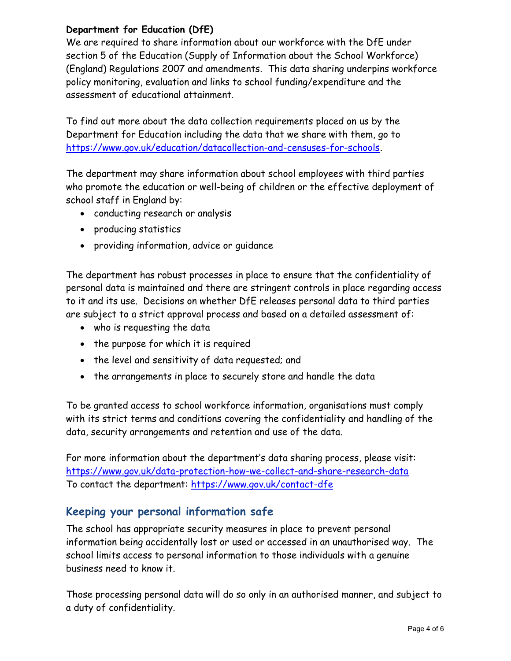#### Department for Education (DfE)

We are required to share information about our workforce with the DfE under section 5 of the Education (Supply of Information about the School Workforce) (England) Regulations 2007 and amendments. This data sharing underpins workforce policy monitoring, evaluation and links to school funding/expenditure and the assessment of educational attainment.

To find out more about the data collection requirements placed on us by the Department for Education including the data that we share with them, go to https://www.gov.uk/education/datacollection-and-censuses-for-schools.

The department may share information about school employees with third parties who promote the education or well-being of children or the effective deployment of school staff in England by:

- conducting research or analysis
- producing statistics
- providing information, advice or guidance

The department has robust processes in place to ensure that the confidentiality of personal data is maintained and there are stringent controls in place regarding access to it and its use. Decisions on whether DfE releases personal data to third parties are subject to a strict approval process and based on a detailed assessment of:

- who is requesting the data
- the purpose for which it is required
- the level and sensitivity of data requested; and
- the arrangements in place to securely store and handle the data

To be granted access to school workforce information, organisations must comply with its strict terms and conditions covering the confidentiality and handling of the data, security arrangements and retention and use of the data.

For more information about the department's data sharing process, please visit: https://www.gov.uk/data-protection-how-we-collect-and-share-research-data To contact the department: https://www.gov.uk/contact-dfe

### Keeping your personal information safe

The school has appropriate security measures in place to prevent personal information being accidentally lost or used or accessed in an unauthorised way. The school limits access to personal information to those individuals with a genuine business need to know it.

Those processing personal data will do so only in an authorised manner, and subject to a duty of confidentiality.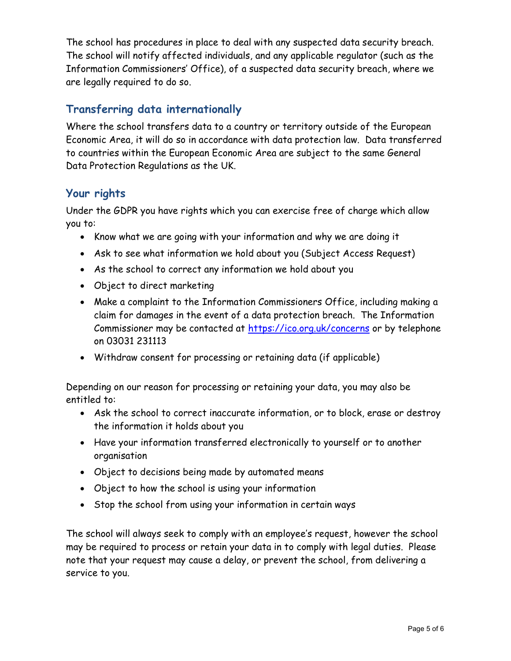The school has procedures in place to deal with any suspected data security breach. The school will notify affected individuals, and any applicable regulator (such as the Information Commissioners' Office), of a suspected data security breach, where we are legally required to do so.

## Transferring data internationally

Where the school transfers data to a country or territory outside of the European Economic Area, it will do so in accordance with data protection law. Data transferred to countries within the European Economic Area are subject to the same General Data Protection Regulations as the UK.

# Your rights

Under the GDPR you have rights which you can exercise free of charge which allow you to:

- Know what we are going with your information and why we are doing it
- Ask to see what information we hold about you (Subject Access Request)
- As the school to correct any information we hold about you
- Object to direct marketing
- Make a complaint to the Information Commissioners Office, including making a claim for damages in the event of a data protection breach. The Information Commissioner may be contacted at https://ico.org.uk/concerns or by telephone on 03031 231113
- Withdraw consent for processing or retaining data (if applicable)

Depending on our reason for processing or retaining your data, you may also be entitled to:

- Ask the school to correct inaccurate information, or to block, erase or destroy the information it holds about you
- Have your information transferred electronically to yourself or to another organisation
- Object to decisions being made by automated means
- Object to how the school is using your information
- Stop the school from using your information in certain ways

The school will always seek to comply with an employee's request, however the school may be required to process or retain your data in to comply with legal duties. Please note that your request may cause a delay, or prevent the school, from delivering a service to you.